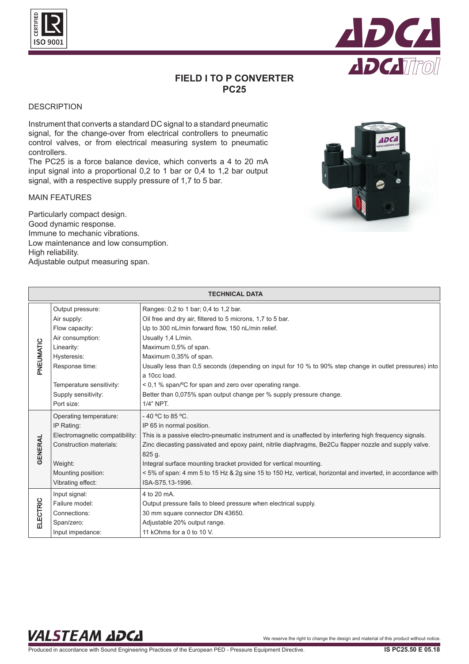



# **FIELD I TO P CONVERTER PC25**

#### **DESCRIPTION**

Instrument that converts a standard DC signal to a standard pneumatic signal, for the change-over from electrical controllers to pneumatic control valves, or from electrical measuring system to pneumatic controllers.

The PC25 is a force balance device, which converts a 4 to 20 mA input signal into a proportional 0,2 to 1 bar or 0,4 to 1,2 bar output signal, with a respective supply pressure of 1,7 to 5 bar.

#### MAIN FEATURES

Particularly compact design. Good dynamic response. Immune to mechanic vibrations. Low maintenance and low consumption. High reliability. Adjustable output measuring span.



| <b>TECHNICAL DATA</b> |                                |                                                                                                             |
|-----------------------|--------------------------------|-------------------------------------------------------------------------------------------------------------|
| PNEUMATIC             | Output pressure:               | Ranges: 0,2 to 1 bar; 0,4 to 1,2 bar.                                                                       |
|                       | Air supply:                    | Oil free and dry air, filtered to 5 microns, 1,7 to 5 bar.                                                  |
|                       | Flow capacity:                 | Up to 300 nL/min forward flow, 150 nL/min relief.                                                           |
|                       | Air consumption:               | Usually 1,4 L/min.                                                                                          |
|                       | Linearity:                     | Maximum 0,5% of span.                                                                                       |
|                       | Hysteresis:                    | Maximum 0,35% of span.                                                                                      |
|                       | Response time:                 | Usually less than 0,5 seconds (depending on input for 10 % to 90% step change in outlet pressures) into     |
|                       |                                | a 10cc load.                                                                                                |
|                       | Temperature sensitivity:       | < 0,1 % span/°C for span and zero over operating range.                                                     |
|                       | Supply sensitivity:            | Better than 0,075% span output change per % supply pressure change.                                         |
|                       | Port size:                     | 1/4" NPT.                                                                                                   |
| <b>GENERAL</b>        | Operating temperature:         | -40 °C to 85 °C.                                                                                            |
|                       | IP Rating:                     | IP 65 in normal position.                                                                                   |
|                       | Electromagnetic compatibility: | This is a passive electro-pneumatic instrument and is unaffected by interfering high frequency signals.     |
|                       | Construction materials:        | Zinc diecasting passivated and epoxy paint, nitrile diaphragms, Be2Cu flapper nozzle and supply valve.      |
|                       |                                | 825 g.                                                                                                      |
|                       | Weight:                        | Integral surface mounting bracket provided for vertical mounting.                                           |
|                       | Mounting position:             | < 5% of span: 4 mm 5 to 15 Hz & 2g sine 15 to 150 Hz, vertical, horizontal and inverted, in accordance with |
|                       | Vibrating effect:              | ISA-S75.13-1996.                                                                                            |
| <b>ELECTRIC</b>       | Input signal:                  | 4 to 20 mA.                                                                                                 |
|                       | Failure model:                 | Output pressure fails to bleed pressure when electrical supply.                                             |
|                       | Connections:                   | 30 mm square connector DN 43650.                                                                            |
|                       | Span/zero:                     | Adjustable 20% output range.                                                                                |
|                       | Input impedance:               | 11 kOhms for a 0 to 10 V.                                                                                   |